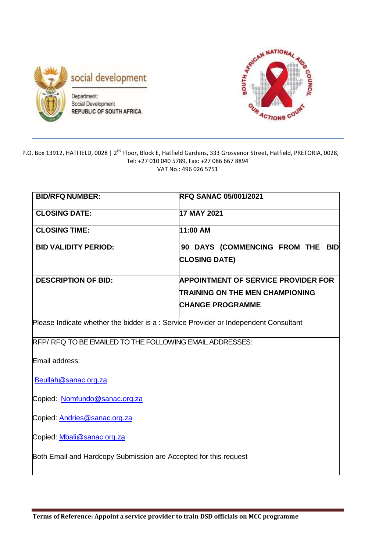



#### P.O. Box 13912, HATFIELD, 0028 | 2<sup>nd</sup> Floor, Block E, Hatfield Gardens, 333 Grosvenor Street, Hatfield, PRETORIA, 0028, Tel: +27 010 040 5789, Fax: +27 086 667 8894 VAT No.: 496 026 5751

| <b>BID/RFQ NUMBER:</b>                                                               | <b>RFQ SANAC 05/001/2021</b>               |  |  |  |  |  |
|--------------------------------------------------------------------------------------|--------------------------------------------|--|--|--|--|--|
| <b>CLOSING DATE:</b>                                                                 | 17 MAY 2021                                |  |  |  |  |  |
| <b>CLOSING TIME:</b>                                                                 | 11:00 AM                                   |  |  |  |  |  |
| <b>BID VALIDITY PERIOD:</b>                                                          | 90 DAYS (COMMENCING FROM THE BID           |  |  |  |  |  |
|                                                                                      | <b>CLOSING DATE)</b>                       |  |  |  |  |  |
| <b>DESCRIPTION OF BID:</b>                                                           | <b>APPOINTMENT OF SERVICE PROVIDER FOR</b> |  |  |  |  |  |
|                                                                                      | TRAINING ON THE MEN CHAMPIONING            |  |  |  |  |  |
|                                                                                      | <b>CHANGE PROGRAMME</b>                    |  |  |  |  |  |
| Please Indicate whether the bidder is a : Service Provider or Independent Consultant |                                            |  |  |  |  |  |
| RFP/ RFQ TO BE EMAILED TO THE FOLLOWING EMAIL ADDRESSES:                             |                                            |  |  |  |  |  |
| Email address:                                                                       |                                            |  |  |  |  |  |
| Beullah@sanac.org.za                                                                 |                                            |  |  |  |  |  |
| Copied: Nomfundo@sanac.org.za                                                        |                                            |  |  |  |  |  |
| Copied: Andries@sanac.org.za                                                         |                                            |  |  |  |  |  |
| Copied: Mbali@sanac.org.za                                                           |                                            |  |  |  |  |  |
| Both Email and Hardcopy Submission are Accepted for this request                     |                                            |  |  |  |  |  |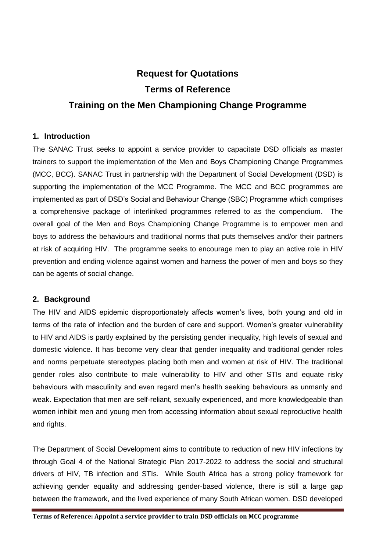# **Request for Quotations Terms of Reference Training on the Men Championing Change Programme**

## **1. Introduction**

The SANAC Trust seeks to appoint a service provider to capacitate DSD officials as master trainers to support the implementation of the Men and Boys Championing Change Programmes (MCC, BCC). SANAC Trust in partnership with the Department of Social Development (DSD) is supporting the implementation of the MCC Programme. The MCC and BCC programmes are implemented as part of DSD's Social and Behaviour Change (SBC) Programme which comprises a comprehensive package of interlinked programmes referred to as the compendium. The overall goal of the Men and Boys Championing Change Programme is to empower men and boys to address the behaviours and traditional norms that puts themselves and/or their partners at risk of acquiring HIV. The programme seeks to encourage men to play an active role in HIV prevention and ending violence against women and harness the power of men and boys so they can be agents of social change.

## **2. Background**

The HIV and AIDS epidemic disproportionately affects women's lives, both young and old in terms of the rate of infection and the burden of care and support. Women's greater vulnerability to HIV and AIDS is partly explained by the persisting gender inequality, high levels of sexual and domestic violence. It has become very clear that gender inequality and traditional gender roles and norms perpetuate stereotypes placing both men and women at risk of HIV. The traditional gender roles also contribute to male vulnerability to HIV and other STIs and equate risky behaviours with masculinity and even regard men's health seeking behaviours as unmanly and weak. Expectation that men are self-reliant, sexually experienced, and more knowledgeable than women inhibit men and young men from accessing information about sexual reproductive health and rights.

The Department of Social Development aims to contribute to reduction of new HIV infections by through Goal 4 of the National Strategic Plan 2017-2022 to address the social and structural drivers of HIV, TB infection and STIs. While South Africa has a strong policy framework for achieving gender equality and addressing gender-based violence, there is still a large gap between the framework, and the lived experience of many South African women. DSD developed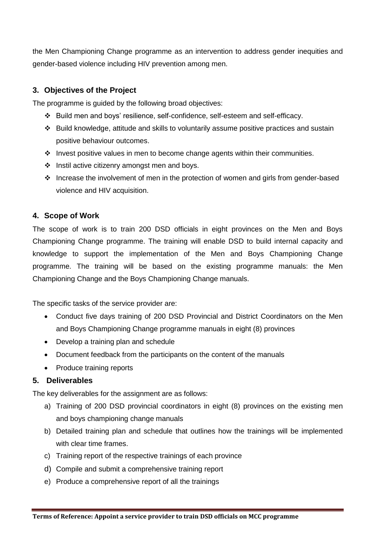the Men Championing Change programme as an intervention to address gender inequities and gender-based violence including HIV prevention among men.

## **3. Objectives of the Project**

The programme is guided by the following broad objectives:

- Build men and boys' resilience, self-confidence, self-esteem and self-efficacy.
- Build knowledge, attitude and skills to voluntarily assume positive practices and sustain positive behaviour outcomes.
- $\cdot$  Invest positive values in men to become change agents within their communities.
- $\cdot$  Instil active citizenry amongst men and boys.
- Increase the involvement of men in the protection of women and girls from gender-based violence and HIV acquisition.

#### **4. Scope of Work**

The scope of work is to train 200 DSD officials in eight provinces on the Men and Boys Championing Change programme. The training will enable DSD to build internal capacity and knowledge to support the implementation of the Men and Boys Championing Change programme. The training will be based on the existing programme manuals: the Men Championing Change and the Boys Championing Change manuals.

The specific tasks of the service provider are:

- Conduct five days training of 200 DSD Provincial and District Coordinators on the Men and Boys Championing Change programme manuals in eight (8) provinces
- Develop a training plan and schedule
- Document feedback from the participants on the content of the manuals
- Produce training reports

## **5. Deliverables**

The key deliverables for the assignment are as follows:

- a) Training of 200 DSD provincial coordinators in eight (8) provinces on the existing men and boys championing change manuals
- b) Detailed training plan and schedule that outlines how the trainings will be implemented with clear time frames.
- c) Training report of the respective trainings of each province
- d) Compile and submit a comprehensive training report
- e) Produce a comprehensive report of all the trainings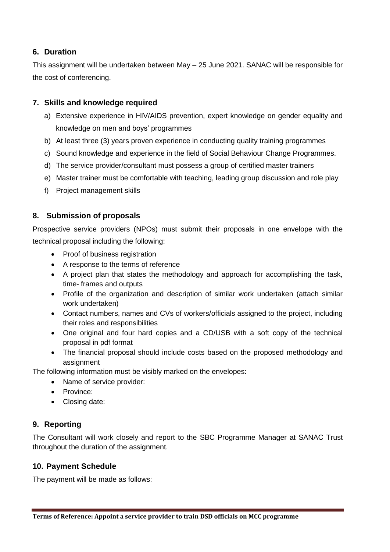## **6. Duration**

This assignment will be undertaken between May – 25 June 2021. SANAC will be responsible for the cost of conferencing.

## **7. Skills and knowledge required**

- a) Extensive experience in HIV/AIDS prevention, expert knowledge on gender equality and knowledge on men and boys' programmes
- b) At least three (3) years proven experience in conducting quality training programmes
- c) Sound knowledge and experience in the field of Social Behaviour Change Programmes.
- d) The service provider/consultant must possess a group of certified master trainers
- e) Master trainer must be comfortable with teaching, leading group discussion and role play
- f) Project management skills

## **8. Submission of proposals**

Prospective service providers (NPOs) must submit their proposals in one envelope with the technical proposal including the following:

- Proof of business registration
- A response to the terms of reference
- A project plan that states the methodology and approach for accomplishing the task, time- frames and outputs
- Profile of the organization and description of similar work undertaken (attach similar work undertaken)
- Contact numbers, names and CVs of workers/officials assigned to the project, including their roles and responsibilities
- One original and four hard copies and a CD/USB with a soft copy of the technical proposal in pdf format
- The financial proposal should include costs based on the proposed methodology and assignment

The following information must be visibly marked on the envelopes:

- Name of service provider:
- Province:
- Closing date:

## **9. Reporting**

The Consultant will work closely and report to the SBC Programme Manager at SANAC Trust throughout the duration of the assignment.

## **10. Payment Schedule**

The payment will be made as follows: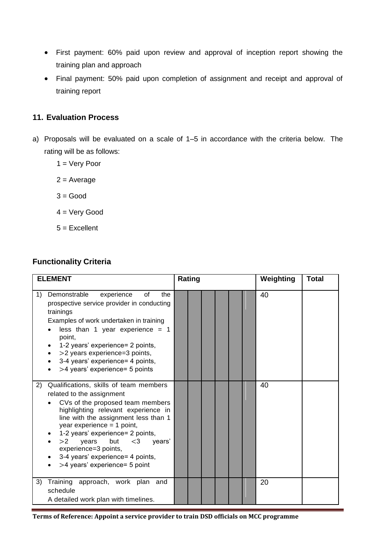- First payment: 60% paid upon review and approval of inception report showing the training plan and approach
- Final payment: 50% paid upon completion of assignment and receipt and approval of training report

#### **11. Evaluation Process**

- a) Proposals will be evaluated on a scale of 1–5 in accordance with the criteria below. The rating will be as follows:
	- 1 = Very Poor
	- $2 = Average$
	- $3 = Good$
	- 4 = Very Good
	- $5 =$ Excellent

## **Functionality Criteria**

| <b>ELEMENT</b>                                                                                                                                                                                                                                                                                                                                                                                         | Rating | Weighting<br><b>Total</b> |
|--------------------------------------------------------------------------------------------------------------------------------------------------------------------------------------------------------------------------------------------------------------------------------------------------------------------------------------------------------------------------------------------------------|--------|---------------------------|
| Demonstrable<br>experience<br>οf<br>the<br>1)<br>prospective service provider in conducting<br>trainings<br>Examples of work undertaken in training<br>less than 1 year experience = $1$<br>point,<br>1-2 years' experience= 2 points,<br>>2 years experience=3 points,<br>3-4 years' experience= 4 points,<br>>4 years' experience= 5 points                                                          |        | 40                        |
| Qualifications, skills of team members<br>2)<br>related to the assignment<br>CVs of the proposed team members<br>highlighting relevant experience in<br>line with the assignment less than 1<br>year experience $=$ 1 point,<br>1-2 years' experience= 2 points,<br>but<br>>2<br>years<br>$<$ 3<br>years'<br>experience=3 points,<br>3-4 years' experience= 4 points,<br>>4 years' experience= 5 point |        | 40                        |
| Training approach, work plan and<br>3)<br>schedule<br>A detailed work plan with timelines.                                                                                                                                                                                                                                                                                                             |        | 20                        |

**Terms of Reference: Appoint a service provider to train DSD officials on MCC programme**